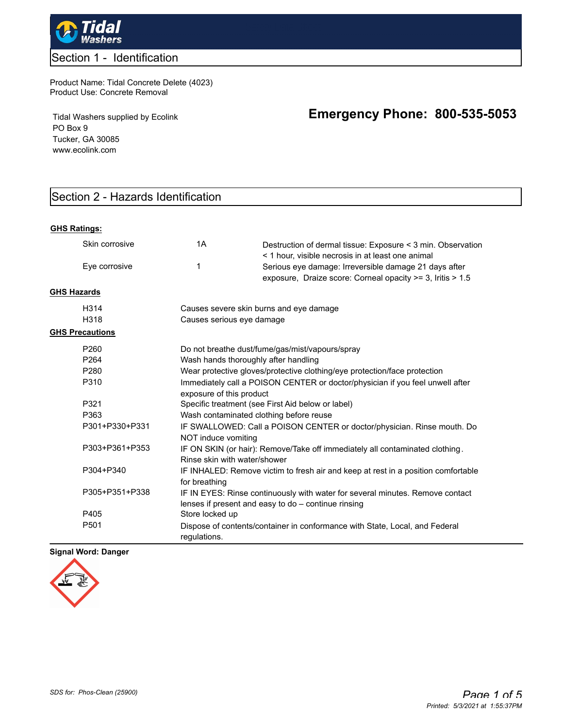

## Section 1 - Identification

Product Name: Tidal Concrete Delete (4023) Product Use: Concrete Removal

Tidal Washers supplied by Ecolink PO Box 9 Tucker, GA 30085 www.ecolink.com

# **Emergency Phone: 800-535-5053**

# Section 2 - Hazards Identification

#### **GHS Ratings:**

|                    | Skin corrosive         | 1A                                      | Destruction of dermal tissue: Exposure < 3 min. Observation<br>< 1 hour, visible necrosis in at least one animal                     |
|--------------------|------------------------|-----------------------------------------|--------------------------------------------------------------------------------------------------------------------------------------|
|                    | Eye corrosive          | 1                                       | Serious eye damage: Irreversible damage 21 days after<br>exposure, Draize score: Corneal opacity >= 3, Iritis > 1.5                  |
| <b>GHS Hazards</b> |                        |                                         |                                                                                                                                      |
|                    | H <sub>3</sub> 14      | Causes severe skin burns and eye damage |                                                                                                                                      |
|                    | H318                   | Causes serious eye damage               |                                                                                                                                      |
|                    | <b>GHS Precautions</b> |                                         |                                                                                                                                      |
|                    | P260                   |                                         | Do not breathe dust/fume/gas/mist/vapours/spray                                                                                      |
|                    | P <sub>264</sub>       | Wash hands thoroughly after handling    |                                                                                                                                      |
|                    | P <sub>280</sub>       |                                         | Wear protective gloves/protective clothing/eye protection/face protection                                                            |
|                    | P310                   | exposure of this product                | Immediately call a POISON CENTER or doctor/physician if you feel unwell after                                                        |
|                    | P321                   |                                         | Specific treatment (see First Aid below or label)                                                                                    |
|                    | P363                   | Wash contaminated clothing before reuse |                                                                                                                                      |
|                    | P301+P330+P331         | NOT induce vomiting                     | IF SWALLOWED: Call a POISON CENTER or doctor/physician. Rinse mouth. Do                                                              |
|                    | P303+P361+P353         | Rinse skin with water/shower            | IF ON SKIN (or hair): Remove/Take off immediately all contaminated clothing.                                                         |
|                    | P304+P340              | for breathing                           | IF INHALED: Remove victim to fresh air and keep at rest in a position comfortable                                                    |
|                    | P305+P351+P338         |                                         | IF IN EYES: Rinse continuously with water for several minutes. Remove contact<br>lenses if present and easy to do - continue rinsing |
|                    | P405                   | Store locked up                         |                                                                                                                                      |
|                    | P <sub>501</sub>       | regulations.                            | Dispose of contents/container in conformance with State, Local, and Federal                                                          |

## **Signal Word: Danger**

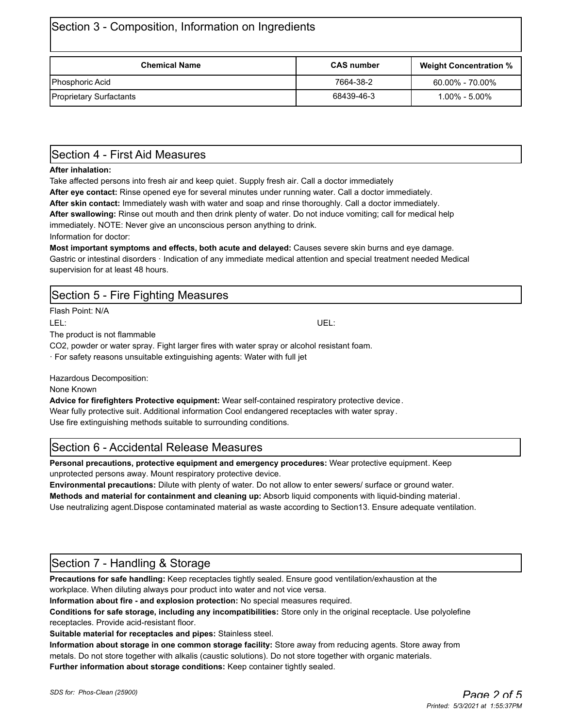| Section 3 - Composition, Information on Ingredients |                   |                               |
|-----------------------------------------------------|-------------------|-------------------------------|
| <b>Chemical Name</b>                                | <b>CAS number</b> | <b>Weight Concentration %</b> |
| Phosphoric Acid                                     | 7664-38-2         | $60.00\%$ - 70.00%            |

Proprietary Surfactants 68439-46-3 1.00% - 5.00%

# Section 4 - First Aid Measures

## **After inhalation:**

Take affected persons into fresh air and keep quiet. Supply fresh air. Call a doctor immediately

**After eye contact:** Rinse opened eye for several minutes under running water. Call a doctor immediately.

**After skin contact:** Immediately wash with water and soap and rinse thoroughly. Call a doctor immediately.

**After swallowing:** Rinse out mouth and then drink plenty of water. Do not induce vomiting; call for medical help immediately. NOTE: Never give an unconscious person anything to drink.

Information for doctor:

**Most important symptoms and effects, both acute and delayed:** Causes severe skin burns and eye damage. Gastric or intestinal disorders · Indication of any immediate medical attention and special treatment needed Medical supervision for at least 48 hours.

# Section 5 - Fire Fighting Measures Flash Point: N/A LEL: UEL:

The product is not flammable

CO2, powder or water spray. Fight larger fires with water spray or alcohol resistant foam.

· For safety reasons unsuitable extinguishing agents: Water with full jet

Hazardous Decomposition:

None Known

**Advice for firefighters Protective equipment:** Wear self-contained respiratory protective device. Wear fully protective suit. Additional information Cool endangered receptacles with water spray . Use fire extinguishing methods suitable to surrounding conditions.

# Section 6 - Accidental Release Measures

**Personal precautions, protective equipment and emergency procedures:** Wear protective equipment. Keep unprotected persons away. Mount respiratory protective device.

**Environmental precautions:** Dilute with plenty of water. Do not allow to enter sewers/ surface or ground water. **Methods and material for containment and cleaning up:** Absorb liquid components with liquid-binding material.

Use neutralizing agent.Dispose contaminated material as waste according to Section13. Ensure adequate ventilation.

# Section 7 - Handling & Storage

**Precautions for safe handling:** Keep receptacles tightly sealed. Ensure good ventilation/exhaustion at the workplace. When diluting always pour product into water and not vice versa.

**Information about fire - and explosion protection:** No special measures required.

**Conditions for safe storage, including any incompatibilities:** Store only in the original receptacle. Use polyolefine receptacles. Provide acid-resistant floor.

**Suitable material for receptacles and pipes:** Stainless steel.

**Information about storage in one common storage facility:** Store away from reducing agents. Store away from metals. Do not store together with alkalis (caustic solutions). Do not store together with organic materials. **Further information about storage conditions:** Keep container tightly sealed.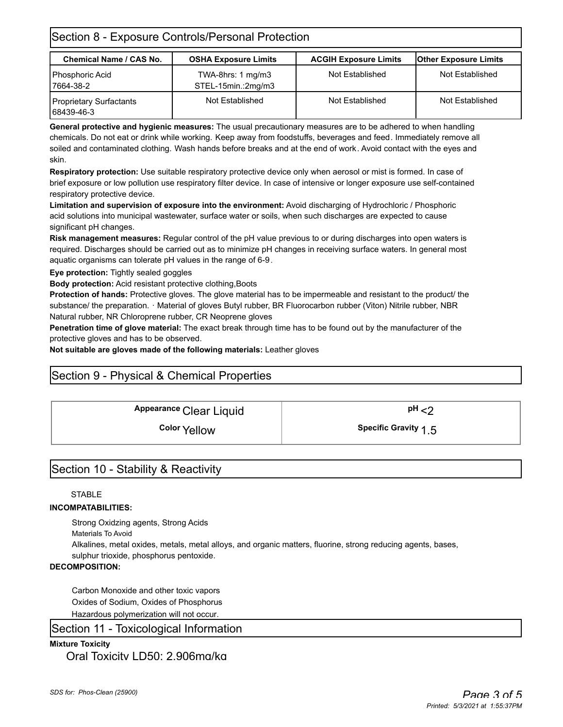## Section 8 - Exposure Controls/Personal Protection

| <b>Chemical Name / CAS No.</b>        | <b>OSHA Exposure Limits</b>                        | <b>ACGIH Exposure Limits</b> | <b>Other Exposure Limits</b> |
|---------------------------------------|----------------------------------------------------|------------------------------|------------------------------|
| Phosphoric Acid<br>7664-38-2          | TWA-8hrs: $1 \text{ mg/m}$ 3<br>STEL-15min.:2mg/m3 | Not Established              | Not Established              |
| Proprietary Surfactants<br>68439-46-3 | Not Established                                    | Not Established              | Not Established              |

**General protective and hygienic measures:** The usual precautionary measures are to be adhered to when handling chemicals. Do not eat or drink while working. Keep away from foodstuffs, beverages and feed. Immediately remove all soiled and contaminated clothing. Wash hands before breaks and at the end of work. Avoid contact with the eyes and skin.

**Respiratory protection:** Use suitable respiratory protective device only when aerosol or mist is formed. In case of brief exposure or low pollution use respiratory filter device. In case of intensive or longer exposure use self-contained respiratory protective device.

**Limitation and supervision of exposure into the environment:** Avoid discharging of Hydrochloric / Phosphoric acid solutions into municipal wastewater, surface water or soils, when such discharges are expected to cause significant pH changes.

**Risk management measures:** Regular control of the pH value previous to or during discharges into open waters is required. Discharges should be carried out as to minimize pH changes in receiving surface waters. In general most aquatic organisms can tolerate pH values in the range of 6-9.

**Eye protection:** Tightly sealed goggles

**Body protection:** Acid resistant protective clothing,Boots

**Protection of hands:** Protective gloves. The glove material has to be impermeable and resistant to the product/ the substance/ the preparation. · Material of gloves Butyl rubber, BR Fluorocarbon rubber (Viton) Nitrile rubber, NBR Natural rubber, NR Chloroprene rubber, CR Neoprene gloves

**Penetration time of glove material:** The exact break through time has to be found out by the manufacturer of the protective gloves and has to be observed.

**Not suitable are gloves made of the following materials:** Leather gloves

## Section 9 - Physical & Chemical Properties

**Color** Yellow **1.5 Specific Gravity** 

## Section 10 - Stability & Reactivity

## **STABLE**

## **INCOMPATABILITIES:**

Strong Oxidzing agents, Strong Acids

Materials To Avoid

Alkalines, metal oxides, metals, metal alloys, and organic matters, fluorine, strong reducing agents, bases, sulphur trioxide, phosphorus pentoxide.

## **DECOMPOSITION:**

Carbon Monoxide and other toxic vapors Oxides of Sodium, Oxides of Phosphorus Hazardous polymerization will not occur.

## Section 11 - Toxicological Information

## **Mixture Toxicity**

Oral Toxicity LD50: 2,906mg/kg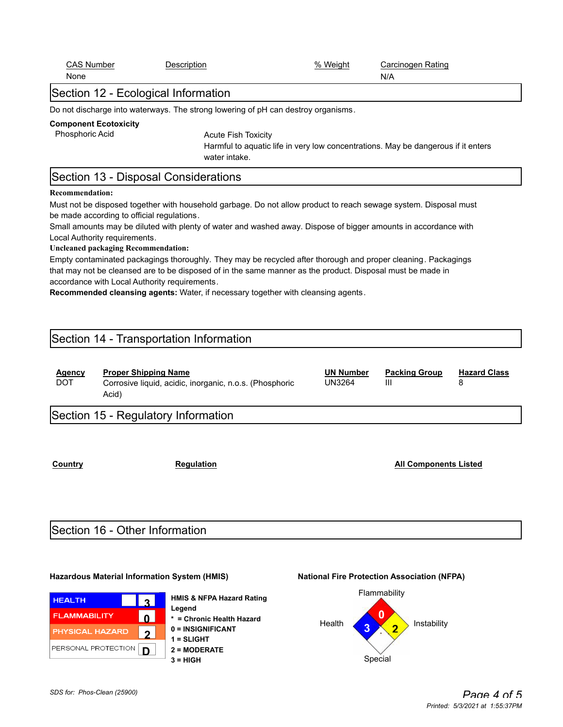| Phosphoric Acid             | <b>Component Ecotoxicity</b>                                                                                                                                               | <b>Acute Fish Toxicity</b><br>Harmful to aquatic life in very low concentrations. May be dangerous if it enters<br>water intake.                                                                                                                                                                                                                                                                                                                                                                                                                        |                                   |                                        |                          |
|-----------------------------|----------------------------------------------------------------------------------------------------------------------------------------------------------------------------|---------------------------------------------------------------------------------------------------------------------------------------------------------------------------------------------------------------------------------------------------------------------------------------------------------------------------------------------------------------------------------------------------------------------------------------------------------------------------------------------------------------------------------------------------------|-----------------------------------|----------------------------------------|--------------------------|
|                             | Section 13 - Disposal Considerations                                                                                                                                       |                                                                                                                                                                                                                                                                                                                                                                                                                                                                                                                                                         |                                   |                                        |                          |
| <b>Recommendation:</b>      | be made according to official regulations.<br>Local Authority requirements.<br><b>Uncleaned packaging Recommendation:</b><br>accordance with Local Authority requirements. | Must not be disposed together with household garbage. Do not allow product to reach sewage system. Disposal must<br>Small amounts may be diluted with plenty of water and washed away. Dispose of bigger amounts in accordance with<br>Empty contaminated packagings thoroughly. They may be recycled after thorough and proper cleaning. Packagings<br>that may not be cleansed are to be disposed of in the same manner as the product. Disposal must be made in<br>Recommended cleansing agents: Water, if necessary together with cleansing agents. |                                   |                                        |                          |
|                             | Section 14 - Transportation Information                                                                                                                                    |                                                                                                                                                                                                                                                                                                                                                                                                                                                                                                                                                         |                                   |                                        |                          |
| <b>Agency</b><br><b>DOT</b> | <b>Proper Shipping Name</b><br>Acid)                                                                                                                                       | Corrosive liquid, acidic, inorganic, n.o.s. (Phosphoric                                                                                                                                                                                                                                                                                                                                                                                                                                                                                                 | <b>UN Number</b><br><b>UN3264</b> | <b>Packing Group</b><br>$\mathbf{III}$ | <b>Hazard Class</b><br>8 |
|                             | Section 15 - Regulatory Information                                                                                                                                        |                                                                                                                                                                                                                                                                                                                                                                                                                                                                                                                                                         |                                   |                                        |                          |

**Country Country Regulation Regulation Regulation All Components Listed** 

# Section 16 - Other Information

## **Hazardous Material Information System (HMIS) National Fire Protection Association (NFPA)**

| <b>HEALTH</b>          | $\mathbf{r}$      |  |
|------------------------|-------------------|--|
| <b>FLAMMABILITY</b>    | Λ                 |  |
| <b>PHYSICAL HAZARD</b> | $\mathbf{\Omega}$ |  |
| PERSONAL PROTECTION    | D                 |  |

**HMIS & NFPA Hazard Rating Legend \* = Chronic Health Hazard 0 = INSIGNIFICANT 1 = SLIGHT 2 = MODERATE 3 = HIGH** Special



CAS Number **Description CAS Number CAS Number Carcinogen Rating** 

Section 12 - Ecological Information

None N/A

Do not discharge into waterways. The strong lowering of pH can destroy organisms.